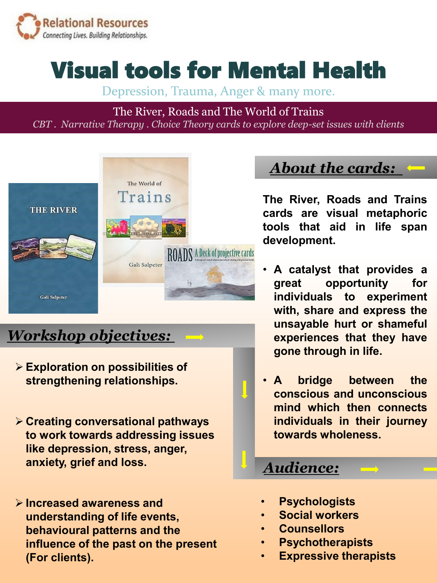

# Visual tools for Mental Health

Depression, Trauma, Anger & many more.

The River, Roads and The World of Trains *CBT . Narrative Therapy . Choice Theory cards to explore deep-set issues with clients*



## *Workshop objectives:*

- ➢ **Exploration on possibilities of strengthening relationships.**
- ➢ **Creating conversational pathways to work towards addressing issues like depression, stress, anger, anxiety, grief and loss.**
- ➢ **Increased awareness and understanding of life events, behavioural patterns and the influence of the past on the present (For clients).**

*About the cards:* 

**The River, Roads and Trains cards are visual metaphoric tools that aid in life span development.**

- **A catalyst that provides a great opportunity for individuals to experiment with, share and express the unsayable hurt or shameful experiences that they have gone through in life.**
- **A bridge between the conscious and unconscious mind which then connects individuals in their journey towards wholeness.**

#### *Audience:*

- **Psychologists**
- **Social workers**
- **Counsellors**
- **Psychotherapists**
- **Expressive therapists**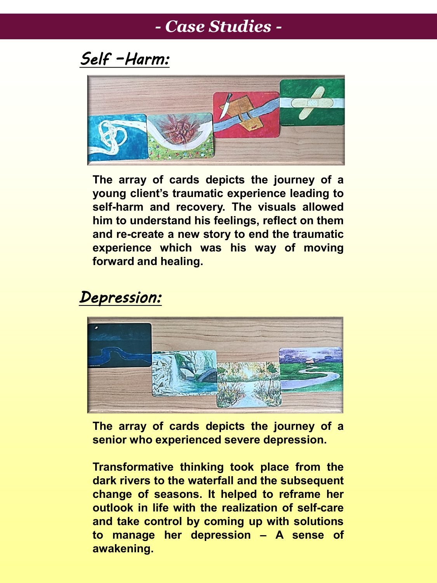## *- Case Studies -*

*Self –Harm:*



**The array of cards depicts the journey of a young client's traumatic experience leading to self-harm and recovery. The visuals allowed him to understand his feelings, reflect on them and re-create a new story to end the traumatic experience which was his way of moving forward and healing.**

#### *Depression:*



**The array of cards depicts the journey of a senior who experienced severe depression.**

**Transformative thinking took place from the dark rivers to the waterfall and the subsequent change of seasons. It helped to reframe her outlook in life with the realization of self-care and take control by coming up with solutions to manage her depression – A sense of awakening.**